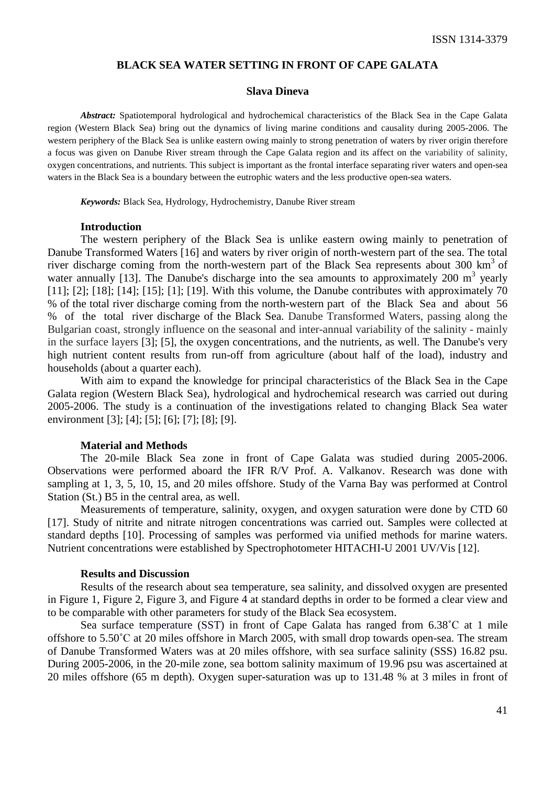### **BLACK SEA WATER SETTING IN FRONT OF CAPE GALATA**

### **Slava Dineva**

*Abstract:* Spatiotemporal hydrological and hydrochemical characteristics of the Black Sea in the Cape Galata region (Western Black Sea) bring out the dynamics of living marine conditions and causality during 2005-2006. The western periphery of the Black Sea is unlike eastern owing mainly to strong penetration of waters by river origin therefore a focus was given on Danube River stream through the Cape Galata region and its affect on the variability of salinity, oxygen concentrations, and nutrients. This subject is important as the frontal interface separating river waters and open-sea waters in the Black Sea is a boundary between the eutrophic waters and the less productive open-sea waters.

*Keywords:* Black Sea, Hydrology, Hydrochemistry, Danube River stream

#### **Introduction**

The western periphery of the Black Sea is unlike eastern owing mainly to penetration of Danube Transformed Waters [16] and waters by river origin of north-western part of the sea. The total river discharge coming from the north-western part of the Black Sea represents about 300  $\text{km}^3$  of water annually [13]. The Danube's discharge into the sea amounts to approximately 200  $m<sup>3</sup>$  yearly [11]; [2]; [18]; [14]; [15]; [1]; [19]. With this volume, the Danube contributes with approximately 70 % of the total river discharge coming from the north-western part of the Black Sea and about 56 % of the total river discharge of the Black Sea. Danube Transformed Waters, passing along the Bulgarian coast, strongly influence on the seasonal and inter-annual variability of the salinity - mainly in the surface layers [3]; [5], the oxygen concentrations, and the nutrients, as well. The Danube's very high nutrient content results from run-off from agriculture (about half of the load), industry and households (about a quarter each).

With aim to expand the knowledge for principal characteristics of the Black Sea in the Cape Galata region (Western Black Sea), hydrological and hydrochemical research was carried out during 2005-2006. The study is a continuation of the investigations related to changing Black Sea water environment [3]; [4]; [5]; [6]; [7]; [8]; [9].

### **Material and Methods**

The 20-mile Black Sea zone in front of Cape Galata was studied during 2005-2006. Observations were performed aboard the IFR R/V Prof. A. Valkanov. Research was done with sampling at 1, 3, 5, 10, 15, and 20 miles offshore. Study of the Varna Bay was performed at Control Station (St.) B5 in the central area, as well.

Measurements of temperature, salinity, oxygen, and oxygen saturation were done by CTD 60 [17]. Study of nitrite and nitrate nitrogen concentrations was carried out. Samples were collected at standard depths [10]. Processing of samples was performed via unified methods for marine waters. Nutrient concentrations were established by Spectrophotometer HITACHI-U 2001 UV/Vis [12].

#### **Results and Discussion**

Results of the research about sea temperature, sea salinity, and dissolved oxygen are presented in Figure 1, Figure 2, Figure 3, and Figure 4 at standard depths in order to be formed a clear view and to be comparable with other parameters for study of the Black Sea ecosystem.

Sea surface temperature (SST) in front of Cape Galata has ranged from 6.38˚С at 1 mile offshore to 5.50˚С at 20 miles offshore in March 2005, with small drop towards open-sea. The stream of Danube Transformed Waters was at 20 miles offshore, with sea surface salinity (SSS) 16.82 psu. During 2005-2006, in the 20-mile zone, sea bottom salinity maximum of 19.96 psu was ascertained at 20 miles offshore (65 m depth). Oxygen super-saturation was up to 131.48 % at 3 miles in front of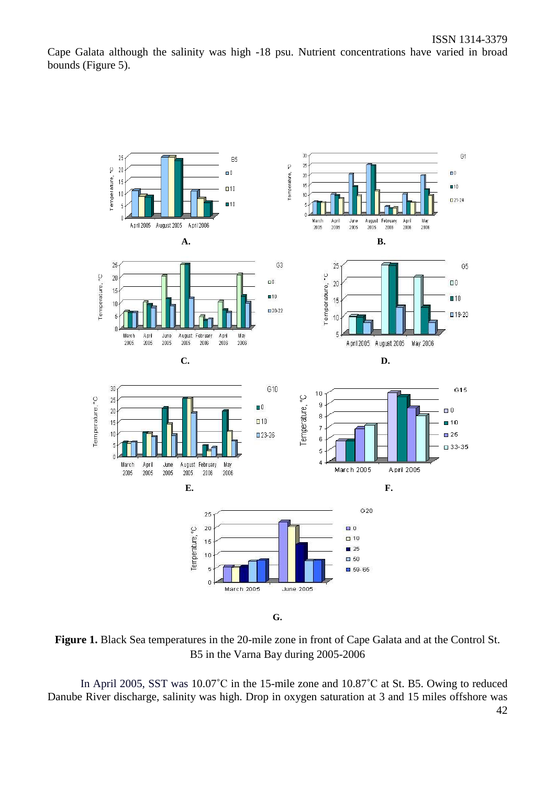Cape Galata although the salinity was high -18 psu. Nutrient concentrations have varied in broad bounds (Figure 5).



**Figure 1.** Black Sea temperatures in the 20-mile zone in front of Cape Galata and at the Control St. B5 in the Varna Bay during 2005-2006

42 In April 2005, SST was 10.07<sup>°</sup>C in the 15-mile zone and 10.87<sup>°</sup>C at St. B5. Owing to reduced Danube River discharge, salinity was high. Drop in oxygen saturation at 3 and 15 miles offshore was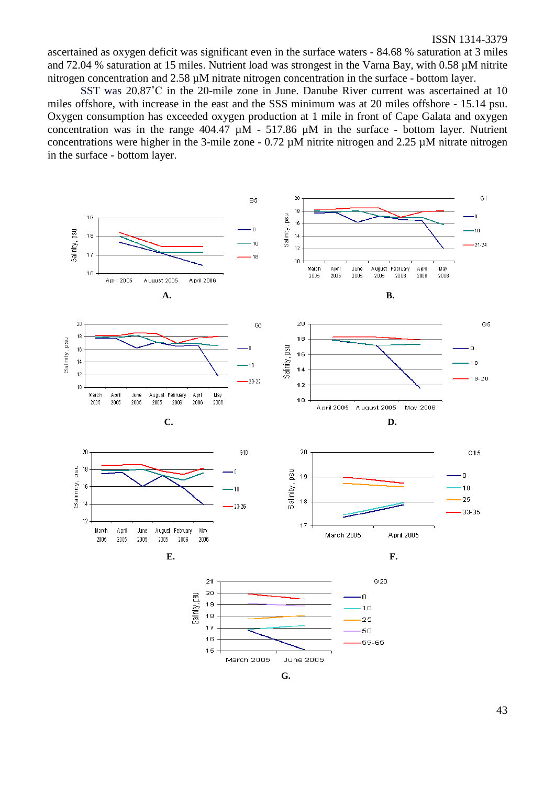ascertained as oxygen deficit was significant even in the surface waters - 84.68 % saturation at 3 miles and 72.04 % saturation at 15 miles. Nutrient load was strongest in the Varna Bay, with 0.58  $\mu$ M nitrite nitrogen concentration and 2.58 µM nitrate nitrogen concentration in the surface - bottom layer.

SST was 20.87°C in the 20-mile zone in June. Danube River current was ascertained at 10 miles offshore, with increase in the east and the SSS minimum was at 20 miles offshore - 15.14 psu. Oxygen consumption has exceeded oxygen production at 1 mile in front of Cape Galata and oxygen concentration was in the range  $404.47 \mu M - 517.86 \mu M$  in the surface - bottom layer. Nutrient concentrations were higher in the 3-mile zone -  $0.72 \mu M$  nitrite nitrogen and  $2.25 \mu M$  nitrate nitrogen in the surface - bottom layer.



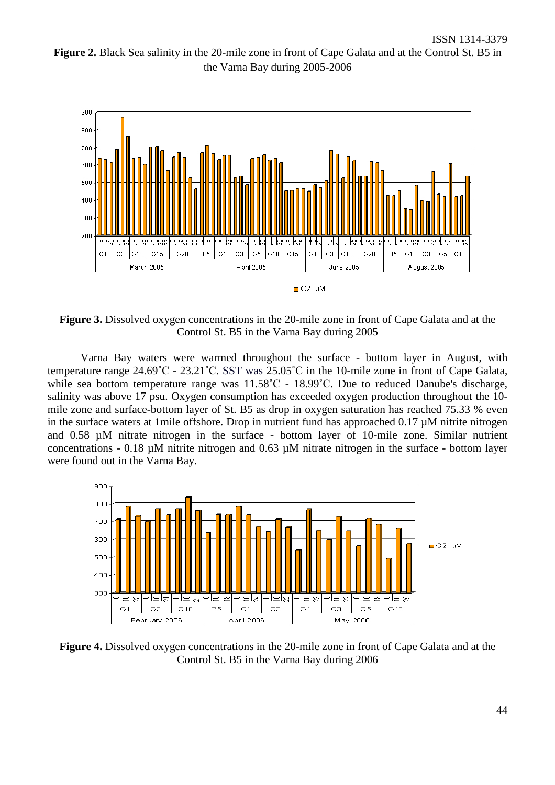**Figure 2.** Black Sea salinity in the 20-mile zone in front of Cape Galata and at the Control St. B5 in the Varna Bay during 2005-2006



**Figure 3.** Dissolved oxygen concentrations in the 20-mile zone in front of Cape Galata and at the Control St. B5 in the Varna Bay during 2005

Varna Bay waters were warmed throughout the surface - bottom layer in August, with temperature range 24.69˚С - 23.21˚С. SST was 25.05˚С in the 10-mile zone in front of Cape Galata, while sea bottom temperature range was  $11.58^{\circ}$ C - 18.99<sup>°</sup>C. Due to reduced Danube's discharge, salinity was above 17 psu. Oxygen consumption has exceeded oxygen production throughout the 10 mile zone and surface-bottom layer of St. B5 as drop in oxygen saturation has reached 75.33 % even in the surface waters at 1mile offshore. Drop in nutrient fund has approached 0.17 µM nitrite nitrogen and 0.58 µM nitrate nitrogen in the surface - bottom layer of 10-mile zone. Similar nutrient concentrations - 0.18  $\mu$ M nitrite nitrogen and 0.63  $\mu$ M nitrate nitrogen in the surface - bottom layer were found out in the Varna Bay.



**Figure 4.** Dissolved oxygen concentrations in the 20-mile zone in front of Cape Galata and at the Control St. B5 in the Varna Bay during 2006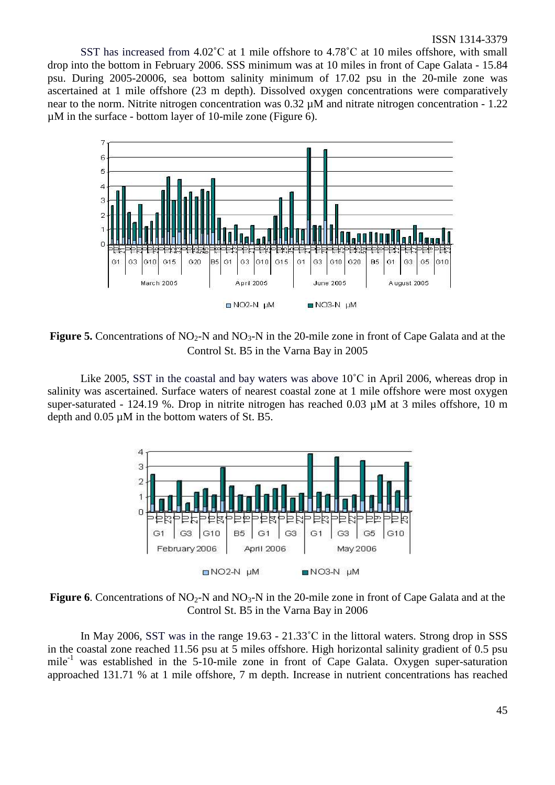SST has increased from  $4.02^{\circ}$ C at 1 mile offshore to  $4.78^{\circ}$ C at 10 miles offshore, with small drop into the bottom in February 2006. SSS minimum was at 10 miles in front of Cape Galata - 15.84 psu. During 2005-20006, sea bottom salinity minimum of 17.02 psu in the 20-mile zone was ascertained at 1 mile offshore (23 m depth). Dissolved oxygen concentrations were comparatively near to the norm. Nitrite nitrogen concentration was 0.32  $\mu$ M and nitrate nitrogen concentration - 1.22 µM in the surface - bottom layer of 10-mile zone (Figure 6).



**Figure 5.** Concentrations of NO<sub>2</sub>-N and NO<sub>3</sub>-N in the 20-mile zone in front of Cape Galata and at the Control St. B5 in the Varna Bay in 2005

Like 2005, SST in the coastal and bay waters was above  $10^{\circ}$ C in April 2006, whereas drop in salinity was ascertained. Surface waters of nearest coastal zone at 1 mile offshore were most oxygen super-saturated - 124.19 %. Drop in nitrite nitrogen has reached 0.03  $\mu$ M at 3 miles offshore, 10 m depth and 0.05 µM in the bottom waters of St. B5.



**Figure 6.** Concentrations of  $NO<sub>2</sub>-N$  and  $NO<sub>3</sub>-N$  in the 20-mile zone in front of Cape Galata and at the Control St. B5 in the Varna Bay in 2006

In May 2006, SST was in the range 19.63 - 21.33°C in the littoral waters. Strong drop in SSS in the coastal zone reached 11.56 psu at 5 miles offshore. High horizontal salinity gradient of 0.5 psu mile<sup>-1</sup> was established in the 5-10-mile zone in front of Cape Galata. Oxygen super-saturation approached 131.71 % at 1 mile offshore, 7 m depth. Increase in nutrient concentrations has reached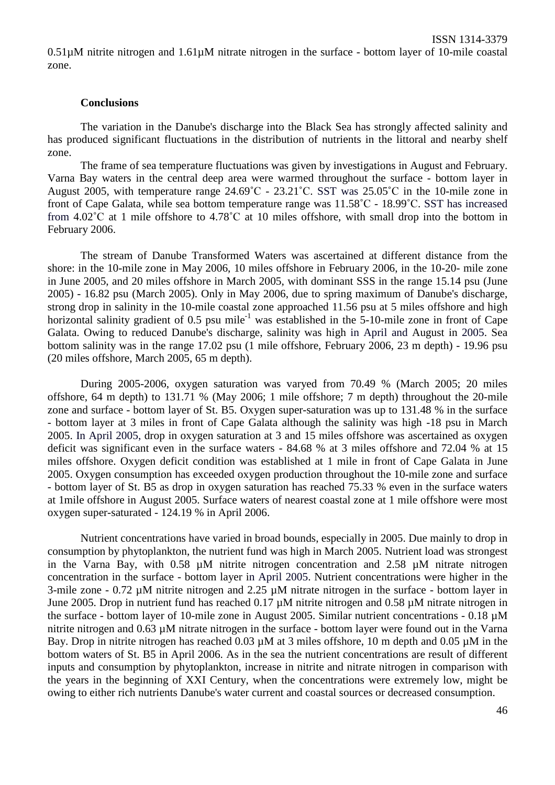# **Conclusions**

The variation in the Danube's discharge into the Black Sea has strongly affected salinity and has produced significant fluctuations in the distribution of nutrients in the littoral and nearby shelf zone.

The frame of sea temperature fluctuations was given by investigations in August and February. Varna Bay waters in the central deep area were warmed throughout the surface - bottom layer in August 2005, with temperature range 24.69˚С - 23.21˚С. SST was 25.05˚С in the 10-mile zone in front of Cape Galata, while sea bottom temperature range was 11.58°C - 18.99°C. SST has increased from 4.02°C at 1 mile offshore to 4.78°C at 10 miles offshore, with small drop into the bottom in February 2006.

The stream of Danube Transformed Waters was ascertained at different distance from the shore: in the 10-mile zone in May 2006, 10 miles offshore in February 2006, in the 10-20- mile zone in June 2005, and 20 miles offshore in March 2005, with dominant SSS in the range 15.14 psu (June 2005) - 16.82 psu (March 2005). Only in May 2006, due to spring maximum of Danube's discharge, strong drop in salinity in the 10-mile coastal zone approached 11.56 psu at 5 miles offshore and high horizontal salinity gradient of  $0.5$  psu mile<sup>-1</sup> was established in the 5-10-mile zone in front of Cape Galata. Owing to reduced Danube's discharge, salinity was high in April and August in 2005. Sea bottom salinity was in the range 17.02 psu (1 mile offshore, February 2006, 23 m depth) - 19.96 psu (20 miles offshore, March 2005, 65 m depth).

During 2005-2006, oxygen saturation was varyed from 70.49 % (March 2005; 20 miles offshore, 64 m depth) to 131.71 % (May 2006; 1 mile offshore; 7 m depth) throughout the 20-mile zone and surface - bottom layer of St. B5. Oxygen super-saturation was up to 131.48 % in the surface - bottom layer at 3 miles in front of Cape Galata although the salinity was high -18 psu in March 2005. In April 2005, drop in oxygen saturation at 3 and 15 miles offshore was ascertained as oxygen deficit was significant even in the surface waters - 84.68 % at 3 miles offshore and 72.04 % at 15 miles offshore. Oxygen deficit condition was established at 1 mile in front of Cape Galata in June 2005. Oxygen consumption has exceeded oxygen production throughout the 10-mile zone and surface - bottom layer of St. B5 as drop in oxygen saturation has reached 75.33 % even in the surface waters at 1mile offshore in August 2005. Surface waters of nearest coastal zone at 1 mile offshore were most oxygen super-saturated - 124.19 % in April 2006.

Nutrient concentrations have varied in broad bounds, especially in 2005. Due mainly to drop in consumption by phytoplankton, the nutrient fund was high in March 2005. Nutrient load was strongest in the Varna Bay, with 0.58 µM nitrite nitrogen concentration and 2.58 µM nitrate nitrogen concentration in the surface - bottom layer in April 2005. Nutrient concentrations were higher in the 3-mile zone - 0.72 µM nitrite nitrogen and 2.25 µM nitrate nitrogen in the surface - bottom layer in June 2005. Drop in nutrient fund has reached 0.17 µM nitrite nitrogen and 0.58 µM nitrate nitrogen in the surface - bottom layer of 10-mile zone in August 2005. Similar nutrient concentrations - 0.18 µM nitrite nitrogen and 0.63 µM nitrate nitrogen in the surface - bottom layer were found out in the Varna Bay. Drop in nitrite nitrogen has reached  $0.03 \mu M$  at 3 miles offshore, 10 m depth and  $0.05 \mu M$  in the bottom waters of St. B5 in April 2006. As in the sea the nutrient concentrations are result of different inputs and consumption by phytoplankton, increase in nitrite and nitrate nitrogen in comparison with the years in the beginning of XXI Century, when the concentrations were extremely low, might be owing to either rich nutrients Danube's water current and coastal sources or decreased consumption.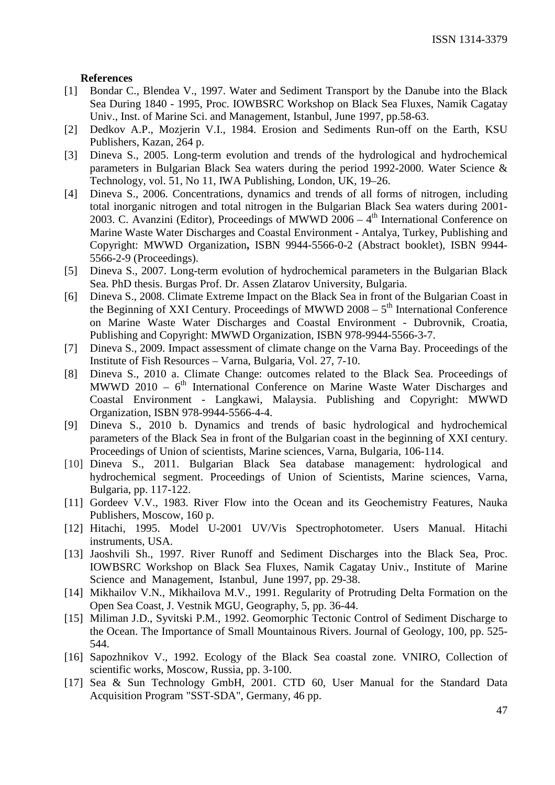# **References**

- [1] Bondar C., Blendea V., 1997. Water and Sediment Transport by the Danube into the Black Sea During 1840 - 1995, Proc. IOWBSRC Workshop on Black Sea Fluxes, Namik Cagatay Univ., Inst. of Marine Sci. and Management, Istanbul, June 1997, pp.58-63.
- [2] Dedkov A.P., Mozjerin V.I., 1984. Erosion and Sediments Run-off on the Earth, KSU Publishers, Kazan, 264 p.
- [3] Dineva S., 2005. Long-term evolution and trends of the hydrological and hydrochemical parameters in Bulgarian Black Sea waters during the period 1992-2000. Water Science & Technology, vol. 51, No 11, IWA Publishing, London, UK, 19–26.
- [4] Dineva S., 2006. Concentrations, dynamics and trends of all forms of nitrogen, including total inorganic nitrogen and total nitrogen in the Bulgarian Black Sea waters during 2001- 2003. C. Avanzini (Editor), Proceedings of MWWD 2006 –  $4<sup>th</sup>$  International Conference on Marine Waste Water Discharges and Coastal Environment - Antalya, Turkey, Publishing and Copyright: MWWD Organization**,** ISBN 9944-5566-0-2 (Abstract booklet), ISBN 9944- 5566-2-9 (Proceedings).
- [5] Dineva S., 2007. Long-term evolution of hydrochemical parameters in the Bulgarian Black Sea. PhD thesis. Burgas Prof. Dr. Assen Zlatarov University, Bulgaria.
- [6] Dineva S., 2008. Climate Extreme Impact on the Black Sea in front of the Bulgarian Coast in the Beginning of XXI Century. Proceedings of MWWD  $2008 - 5<sup>th</sup>$  International Conference on Marine Waste Water Discharges and Coastal Environment - Dubrovnik, Croatia, Publishing and Copyright: MWWD Organization, ISBN 978-9944-5566-3-7.
- [7] Dineva S., 2009. Impact assessment of climate change on the Varna Bay. Proceedings of the Institute of Fish Resources – Varna, Bulgaria, Vol. 27, 7-10.
- [8] Dineva S., 2010 a. Climate Change: outcomes related to the Black Sea. Proceedings of MWWD 2010 –  $6<sup>th</sup>$  International Conference on Marine Waste Water Discharges and Coastal Environment - Langkawi, Malaysia. Publishing and Copyright: MWWD Organization, ISBN 978-9944-5566-4-4.
- [9] Dineva S., 2010 b. Dynamics and trends of basic hydrological and hydrochemical parameters of the Black Sea in front of the Bulgarian coast in the beginning of XXI century. Proceedings of Union of scientists, Marine sciences, Varna, Bulgaria, 106-114.
- [10] Dineva S., 2011. Bulgarian Black Sea database management: hydrological and hydrochemical segment. Proceedings of Union of Scientists, Marine sciences, Varna, Bulgaria, pp. 117-122.
- [11] Gordeev V.V., 1983. River Flow into the Ocean and its Geochemistry Features, Nauka Publishers, Moscow, 160 p.
- [12] Hitachi, 1995. Model U-2001 UV/Vis Spectrophotometer. Users Manual. Hitachi instruments, USA.
- [13] Jaoshvili Sh., 1997. River Runoff and Sediment Discharges into the Black Sea, Proc. IOWBSRC Workshop on Black Sea Fluxes, Namik Cagatay Univ., Institute of Marine Science and Management, Istanbul, June 1997, pp. 29-38.
- [14] Mikhailov V.N., Mikhailova M.V., 1991. Regularity of Protruding Delta Formation on the Open Sea Coast, J. Vestnik MGU, Geography, 5, pp. 36-44.
- [15] Miliman J.D., Syvitski P.M., 1992. Geomorphic Tectonic Control of Sediment Discharge to the Ocean. The Importance of Small Mountainous Rivers. Journal of Geology, 100, pp. 525- 544.
- [16] Sapozhnikov V., 1992. Ecology of the Black Sea coastal zone. VNIRO, Collection of scientific works, Moscow, Russia, pp. 3-100.
- [17] Sea & Sun Technology GmbH, 2001. CTD 60, User Manual for the Standard Data Acquisition Program "SST-SDA", Germany, 46 pp.